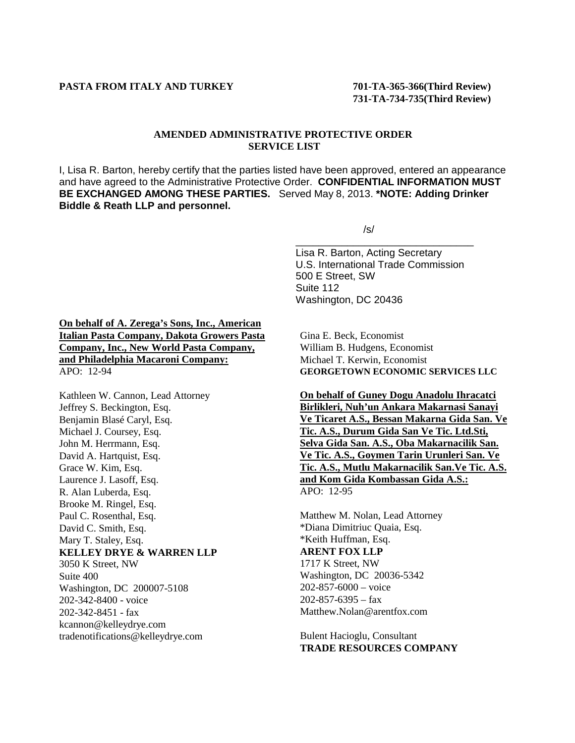## **AMENDED ADMINISTRATIVE PROTECTIVE ORDER SERVICE LIST**

I, Lisa R. Barton, hereby certify that the parties listed have been approved, entered an appearance and have agreed to the Administrative Protective Order. **CONFIDENTIAL INFORMATION MUST BE EXCHANGED AMONG THESE PARTIES.** Served May 8, 2013. **\*NOTE: Adding Drinker Biddle & Reath LLP and personnel.**

/s/

Lisa R. Barton, Acting Secretary U.S. International Trade Commission 500 E Street, SW Suite 112 Washington, DC 20436

\_\_\_\_\_\_\_\_\_\_\_\_\_\_\_\_\_\_\_\_\_\_\_\_\_\_\_\_\_\_\_

**On behalf of A. Zerega's Sons, Inc., American Italian Pasta Company, Dakota Growers Pasta Company, Inc., New World Pasta Company, and Philadelphia Macaroni Company:** APO: 12-94

Kathleen W. Cannon, Lead Attorney Jeffrey S. Beckington, Esq. Benjamin Blasé Caryl, Esq. Michael J. Coursey, Esq. John M. Herrmann, Esq. David A. Hartquist, Esq. Grace W. Kim, Esq. Laurence J. Lasoff, Esq. R. Alan Luberda, Esq. Brooke M. Ringel, Esq. Paul C. Rosenthal, Esq. David C. Smith, Esq. Mary T. Staley, Esq. **KELLEY DRYE & WARREN LLP** 3050 K Street, NW Suite 400 Washington, DC 200007-5108 202-342-8400 - voice 202-342-8451 - fax kcannon@kelleydrye.com tradenotifications@kelleydrye.com

Gina E. Beck, Economist William B. Hudgens, Economist Michael T. Kerwin, Economist **GEORGETOWN ECONOMIC SERVICES LLC**

**On behalf of Guney Dogu Anadolu Ihracatci Birlikleri, Nuh'un Ankara Makarnasi Sanayi Ve Ticaret A.S., Bessan Makarna Gida San. Ve Tic. A.S., Durum Gida San Ve Tic. Ltd.Sti, Selva Gida San. A.S., Oba Makarnacilik San. Ve Tic. A.S., Goymen Tarin Urunleri San. Ve Tic. A.S., Mutlu Makarnacilik San.Ve Tic. A.S. and Kom Gida Kombassan Gida A.S.:** APO: 12-95

Matthew M. Nolan, Lead Attorney \*Diana Dimitriuc Quaia, Esq. \*Keith Huffman, Esq. **ARENT FOX LLP** 1717 K Street, NW Washington, DC 20036-5342 202-857-6000 – voice 202-857-6395 – fax Matthew.Nolan@arentfox.com

Bulent Hacioglu, Consultant **TRADE RESOURCES COMPANY**